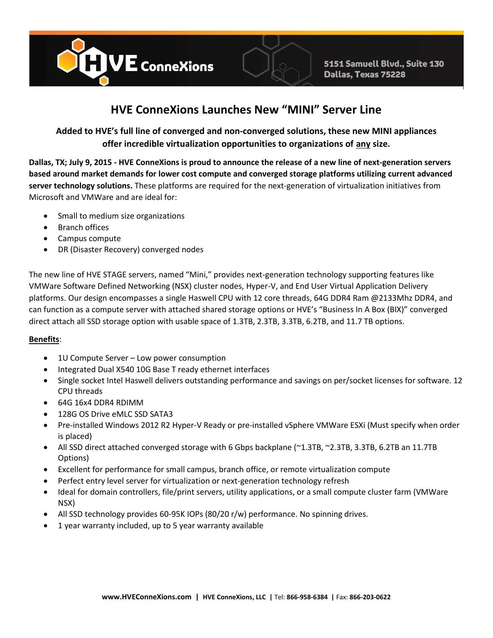

## **HVE ConneXions Launches New "MINI" Server Line**

## **Added to HVE's full line of converged and non-converged solutions, these new MINI appliances offer incredible virtualization opportunities to organizations of any size.**

**Dallas, TX; July 9, 2015 - HVE ConneXions is proud to announce the release of a new line of next-generation servers based around market demands for lower cost compute and converged storage platforms utilizing current advanced server technology solutions.** These platforms are required for the next-generation of virtualization initiatives from Microsoft and VMWare and are ideal for:

- Small to medium size organizations
- Branch offices
- Campus compute
- DR (Disaster Recovery) converged nodes

The new line of HVE STAGE servers, named "Mini," provides next-generation technology supporting features like VMWare Software Defined Networking (NSX) cluster nodes, Hyper-V, and End User Virtual Application Delivery platforms. Our design encompasses a single Haswell CPU with 12 core threads, 64G DDR4 Ram @2133Mhz DDR4, and can function as a compute server with attached shared storage options or HVE's "Business In A Box (BIX)" converged direct attach all SSD storage option with usable space of 1.3TB, 2.3TB, 3.3TB, 6.2TB, and 11.7 TB options.

## **Benefits**:

- 1U Compute Server Low power consumption
- Integrated Dual X540 10G Base T ready ethernet interfaces
- Single socket Intel Haswell delivers outstanding performance and savings on per/socket licenses for software. 12 CPU threads
- 64G 16x4 DDR4 RDIMM
- 128G OS Drive eMLC SSD SATA3
- Pre-installed Windows 2012 R2 Hyper-V Ready or pre-installed vSphere VMWare ESXi (Must specify when order is placed)
- All SSD direct attached converged storage with 6 Gbps backplane (~1.3TB, ~2.3TB, 3.3TB, 6.2TB an 11.7TB Options)
- Excellent for performance for small campus, branch office, or remote virtualization compute
- Perfect entry level server for virtualization or next-generation technology refresh
- Ideal for domain controllers, file/print servers, utility applications, or a small compute cluster farm (VMWare NSX)
- All SSD technology provides 60-95K IOPs (80/20 r/w) performance. No spinning drives.
- 1 year warranty included, up to 5 year warranty available